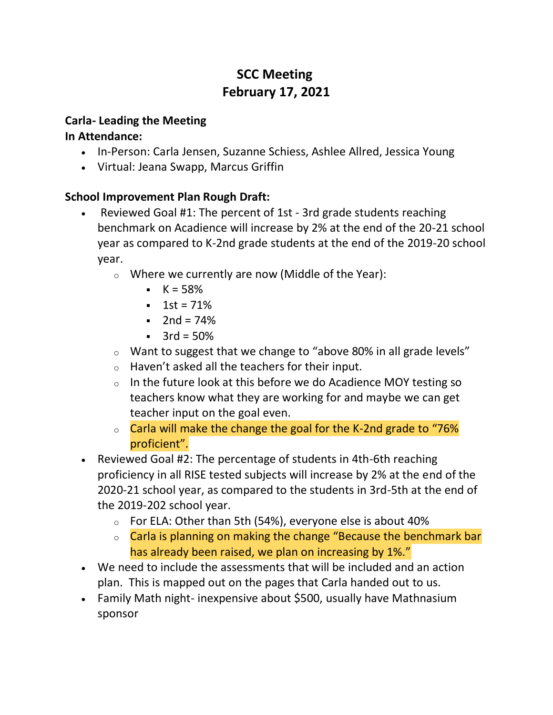# **SCC Meeting February 17, 2021**

### **Carla- Leading the Meeting**

### **In Attendance:**

- In-Person: Carla Jensen, Suzanne Schiess, Ashlee Allred, Jessica Young
- Virtual: Jeana Swapp, Marcus Griffin

## **School Improvement Plan Rough Draft:**

- Reviewed Goal #1: The percent of 1st 3rd grade students reaching benchmark on Acadience will increase by 2% at the end of the 20-21 school year as compared to K-2nd grade students at the end of the 2019-20 school year.
	- o Where we currently are now (Middle of the Year):
		- $K = 58%$
		- $1st = 71%$
		- $2nd = 74%$
		- $-3rd = 50%$
	- o Want to suggest that we change to "above 80% in all grade levels"
	- o Haven't asked all the teachers for their input.
	- $\circ$  In the future look at this before we do Acadience MOY testing so teachers know what they are working for and maybe we can get teacher input on the goal even.
	- $\circ$  Carla will make the change the goal for the K-2nd grade to "76% proficient".
- Reviewed Goal #2: The percentage of students in 4th-6th reaching proficiency in all RISE tested subjects will increase by 2% at the end of the 2020-21 school year, as compared to the students in 3rd-5th at the end of the 2019-202 school year.
	- o For ELA: Other than 5th (54%), everyone else is about 40%
	- o Carla is planning on making the change "Because the benchmark bar has already been raised, we plan on increasing by 1%."
- We need to include the assessments that will be included and an action plan. This is mapped out on the pages that Carla handed out to us.
- Family Math night- inexpensive about \$500, usually have Mathnasium sponsor